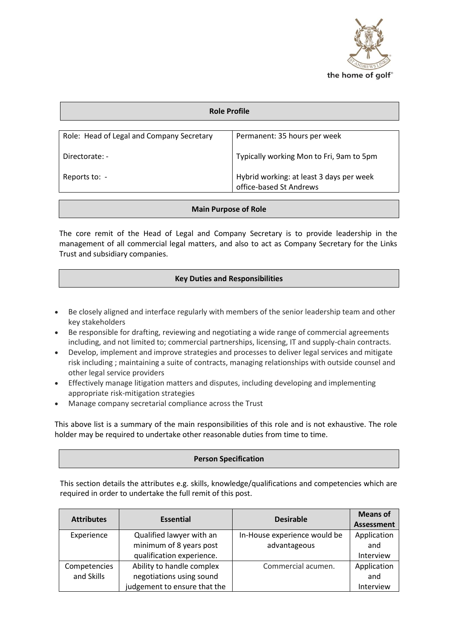

| Role Profile                              |                                                                     |  |  |  |
|-------------------------------------------|---------------------------------------------------------------------|--|--|--|
|                                           |                                                                     |  |  |  |
| Role: Head of Legal and Company Secretary | Permanent: 35 hours per week                                        |  |  |  |
| Directorate: -                            | Typically working Mon to Fri, 9am to 5pm                            |  |  |  |
| Reports to: -                             | Hybrid working: at least 3 days per week<br>office-based St Andrews |  |  |  |

## **Main Purpose of Role**

The core remit of the Head of Legal and Company Secretary is to provide leadership in the management of all commercial legal matters, and also to act as Company Secretary for the Links Trust and subsidiary companies.

## **Key Duties and Responsibilities**

- Be closely aligned and interface regularly with members of the senior leadership team and other key stakeholders
- Be responsible for drafting, reviewing and negotiating a wide range of commercial agreements including, and not limited to; commercial partnerships, licensing, IT and supply-chain contracts.
- Develop, implement and improve strategies and processes to deliver legal services and mitigate risk including ; maintaining a suite of contracts, managing relationships with outside counsel and other legal service providers
- Effectively manage litigation matters and disputes, including developing and implementing appropriate risk-mitigation strategies
- Manage company secretarial compliance across the Trust

This above list is a summary of the main responsibilities of this role and is not exhaustive. The role holder may be required to undertake other reasonable duties from time to time.

# **Person Specification**

This section details the attributes e.g. skills, knowledge/qualifications and competencies which are required in order to undertake the full remit of this post.

| <b>Attributes</b> | <b>Essential</b>             | <b>Desirable</b>             | <b>Means of</b>   |
|-------------------|------------------------------|------------------------------|-------------------|
|                   |                              |                              | <b>Assessment</b> |
| Experience        | Qualified lawyer with an     | In-House experience would be | Application       |
|                   | minimum of 8 years post      | advantageous                 | and               |
|                   | qualification experience.    |                              | Interview         |
| Competencies      | Ability to handle complex    | Commercial acumen.           | Application       |
| and Skills        | negotiations using sound     |                              | and               |
|                   | judgement to ensure that the |                              | Interview         |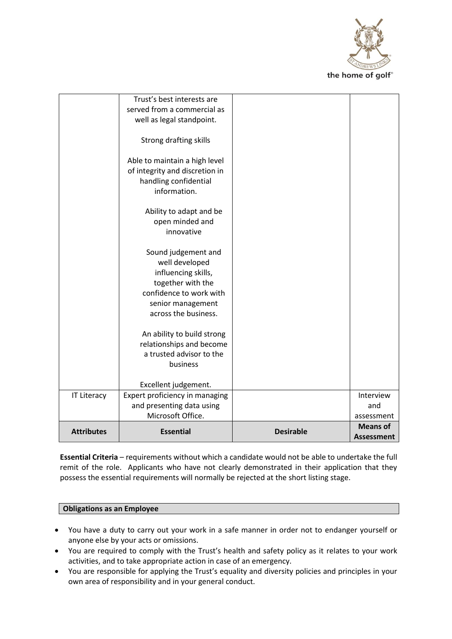

|                    | Trust's best interests are<br>served from a commercial as                                      |                  |                               |
|--------------------|------------------------------------------------------------------------------------------------|------------------|-------------------------------|
|                    | well as legal standpoint.                                                                      |                  |                               |
|                    | Strong drafting skills                                                                         |                  |                               |
|                    | Able to maintain a high level<br>of integrity and discretion in<br>handling confidential       |                  |                               |
|                    | information.<br>Ability to adapt and be                                                        |                  |                               |
|                    | open minded and<br>innovative                                                                  |                  |                               |
|                    | Sound judgement and<br>well developed<br>influencing skills,                                   |                  |                               |
|                    | together with the<br>confidence to work with                                                   |                  |                               |
|                    | senior management<br>across the business.                                                      |                  |                               |
|                    | An ability to build strong<br>relationships and become<br>a trusted advisor to the<br>business |                  |                               |
|                    | Excellent judgement.                                                                           |                  |                               |
| <b>IT Literacy</b> | Expert proficiency in managing                                                                 |                  | Interview                     |
|                    | and presenting data using<br>Microsoft Office.                                                 |                  | and                           |
|                    |                                                                                                |                  | assessment<br><b>Means of</b> |
| <b>Attributes</b>  | <b>Essential</b>                                                                               | <b>Desirable</b> | <b>Assessment</b>             |

**Essential Criteria** – requirements without which a candidate would not be able to undertake the full remit of the role. Applicants who have not clearly demonstrated in their application that they possess the essential requirements will normally be rejected at the short listing stage.

#### **Obligations as an Employee**

- You have a duty to carry out your work in a safe manner in order not to endanger yourself or anyone else by your acts or omissions.
- You are required to comply with the Trust's health and safety policy as it relates to your work activities, and to take appropriate action in case of an emergency.
- You are responsible for applying the Trust's equality and diversity policies and principles in your own area of responsibility and in your general conduct.